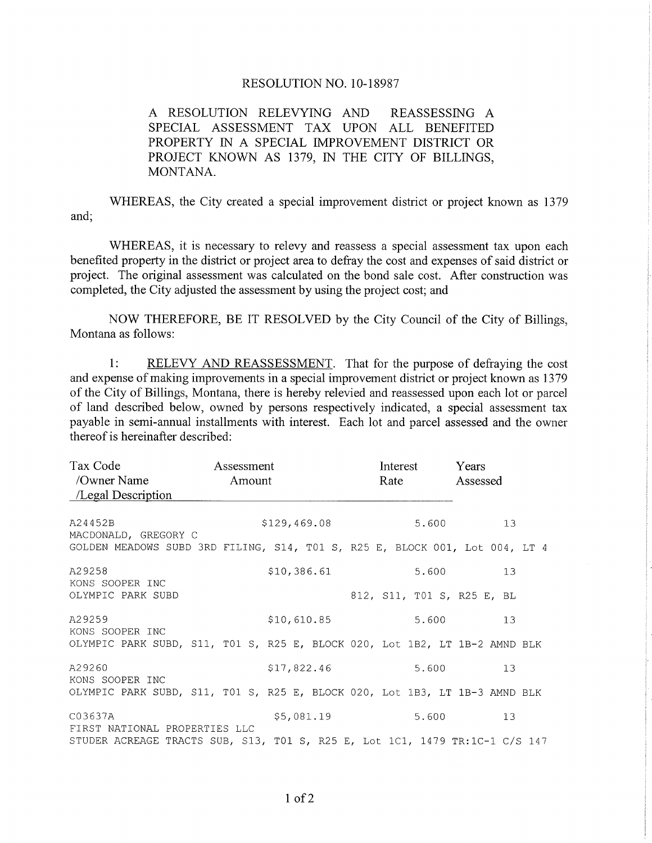## RESOLUTION NO. 10-18987

A RESOLUTION RELEVYING AND REASSESSING A SPECIAL ASSESSMENT TAX UPON ALL BENEFITED PROPERTY IN A SPECIAL IMPROVEMENT DISTRICT OR PROJECT KNOWN AS 1379, IN THE CITY OF BILLINGS, MONTANA.

WHEREAS, the City created a special improvement district or project known as 1379 and;

WHEREAS, it is necessary to relevy and reassess a special assessment tax upon each benefited property in the district or project area to defray the cost and expenses of said district or project. The original assessment was calculated on the bond sale cost. After construction was completed, the City adjusted the assessment by using the project cost; and :

NOW THEREFORE, BE IT RESOLVED by the City Council of the City of Billings, Montana as follows:

1: RELEVY AND REASSESSMENT. That for the purpose of defraying the cost and expense of making improvements in a special improvement district or project known as 1379 of the City of Billings, Montana, there is hereby relevied and reassessed upon each lot or parcel of land described below, owned by persons respectively indicated, a special assessment tax payable in semi-annual installments with interest. Each lot and parcel assessed and the owner thereof is hereinafter described:

| Tax Code<br>/Owner Name<br>/Legal Description                               | Assessment<br>Amount |              |  |  |  | Interest<br>Rate |       |  |  | Years<br>Assessed |                            |  |  |
|-----------------------------------------------------------------------------|----------------------|--------------|--|--|--|------------------|-------|--|--|-------------------|----------------------------|--|--|
| A24452B<br>MACDONALD, GREGORY C                                             |                      | \$129,469.08 |  |  |  |                  | 5.600 |  |  | 13                |                            |  |  |
| GOLDEN MEADOWS SUBD 3RD FILING, S14, T01 S, R25 E, BLOCK 001, Lot 004, LT 4 |                      |              |  |  |  |                  |       |  |  |                   |                            |  |  |
| A29258<br>KONS SOOPER INC                                                   |                      | \$10,386.61  |  |  |  |                  | 5.600 |  |  |                   | 13                         |  |  |
| OLYMPIC PARK SUBD                                                           |                      |              |  |  |  |                  |       |  |  |                   | 812, S11, T01 S, R25 E, BL |  |  |
| A29259<br>KONS SOOPER INC                                                   |                      | \$10,610.85  |  |  |  |                  | 5.600 |  |  |                   | 13                         |  |  |
| OLYMPIC PARK SUBD, S11, T01 S, R25 E, BLOCK 020, Lot 1B2, LT 1B-2 AMND BLK  |                      |              |  |  |  |                  |       |  |  |                   |                            |  |  |
| A29260<br>KONS SOOPER INC                                                   |                      | \$17,822.46  |  |  |  |                  | 5.600 |  |  |                   | 1.3                        |  |  |
| OLYMPIC PARK SUBD, S11, T01 S, R25 E, BLOCK 020, Lot 1B3, LT 1B-3 AMND BLK  |                      |              |  |  |  |                  |       |  |  |                   |                            |  |  |
| \$5,081.19<br>C03637A<br>FIRST NATIONAL PROPERTIES LLC                      |                      |              |  |  |  | 5.600            |       |  |  | 13                |                            |  |  |
| STUDER ACREAGE TRACTS SUB, S13, T01 S, R25 E, Lot 1C1, 1479 TR:1C-1 C/S 147 |                      |              |  |  |  |                  |       |  |  |                   |                            |  |  |